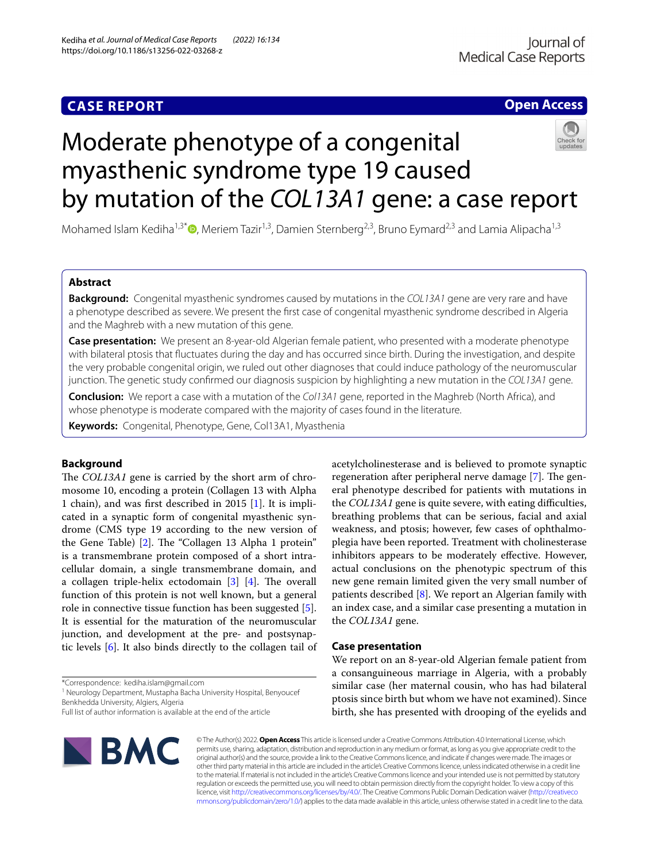# **Open Access**

# Moderate phenotype of a congenital myasthenic syndrome type 19 caused by mutation of the *COL13A1* gene: a case report



Mohamed Islam Kediha<sup>1,3\*</sup>  $\bullet$ [,](http://orcid.org/0000-0002-2656-8716) Meriem Tazir<sup>1,3</sup>, Damien Sternberg<sup>2,3</sup>, Bruno Eymard<sup>2,3</sup> and Lamia Alipacha<sup>1,3</sup>

# **Abstract**

**Background:** Congenital myasthenic syndromes caused by mutations in the *COL13A1* gene are very rare and have a phenotype described as severe. We present the frst case of congenital myasthenic syndrome described in Algeria and the Maghreb with a new mutation of this gene.

**Case presentation:** We present an 8-year-old Algerian female patient, who presented with a moderate phenotype with bilateral ptosis that fuctuates during the day and has occurred since birth. During the investigation, and despite the very probable congenital origin, we ruled out other diagnoses that could induce pathology of the neuromuscular junction. The genetic study confrmed our diagnosis suspicion by highlighting a new mutation in the *COL13A1* gene.

**Conclusion:** We report a case with a mutation of the *Col13A1* gene, reported in the Maghreb (North Africa), and whose phenotype is moderate compared with the majority of cases found in the literature.

**Keywords:** Congenital, Phenotype, Gene, Col13A1, Myasthenia

## **Background**

The *COL13A1* gene is carried by the short arm of chromosome 10, encoding a protein (Collagen 13 with Alpha 1 chain), and was frst described in 2015 [[1\]](#page-2-0). It is implicated in a synaptic form of congenital myasthenic syndrome (CMS type 19 according to the new version of the Gene Table) [[2\]](#page-2-1). The "Collagen 13 Alpha 1 protein" is a transmembrane protein composed of a short intracellular domain, a single transmembrane domain, and a collagen triple-helix ectodomain  $[3]$  $[3]$  $[3]$   $[4]$  $[4]$ . The overall function of this protein is not well known, but a general role in connective tissue function has been suggested [\[5](#page-2-4)]. It is essential for the maturation of the neuromuscular junction, and development at the pre- and postsynaptic levels [\[6](#page-2-5)]. It also binds directly to the collagen tail of

\*Correspondence: kediha.islam@gmail.com

<sup>1</sup> Neurology Department, Mustapha Bacha University Hospital, Benyoucef Benkhedda University, Algiers, Algeria

Full list of author information is available at the end of the article



acetylcholinesterase and is believed to promote synaptic regeneration after peripheral nerve damage [\[7](#page-2-6)]. The general phenotype described for patients with mutations in the *COL13A1* gene is quite severe, with eating difficulties, breathing problems that can be serious, facial and axial weakness, and ptosis; however, few cases of ophthalmoplegia have been reported. Treatment with cholinesterase inhibitors appears to be moderately efective. However, actual conclusions on the phenotypic spectrum of this new gene remain limited given the very small number of patients described [\[8](#page-2-7)]. We report an Algerian family with an index case, and a similar case presenting a mutation in the *COL13A1* gene.

#### **Case presentation**

We report on an 8-year-old Algerian female patient from a consanguineous marriage in Algeria, with a probably similar case (her maternal cousin, who has had bilateral ptosis since birth but whom we have not examined). Since birth, she has presented with drooping of the eyelids and

© The Author(s) 2022. **Open Access** This article is licensed under a Creative Commons Attribution 4.0 International License, which permits use, sharing, adaptation, distribution and reproduction in any medium or format, as long as you give appropriate credit to the original author(s) and the source, provide a link to the Creative Commons licence, and indicate if changes were made. The images or other third party material in this article are included in the article's Creative Commons licence, unless indicated otherwise in a credit line to the material. If material is not included in the article's Creative Commons licence and your intended use is not permitted by statutory regulation or exceeds the permitted use, you will need to obtain permission directly from the copyright holder. To view a copy of this licence, visit [http://creativecommons.org/licenses/by/4.0/.](http://creativecommons.org/licenses/by/4.0/) The Creative Commons Public Domain Dedication waiver ([http://creativeco](http://creativecommons.org/publicdomain/zero/1.0/) [mmons.org/publicdomain/zero/1.0/](http://creativecommons.org/publicdomain/zero/1.0/)) applies to the data made available in this article, unless otherwise stated in a credit line to the data.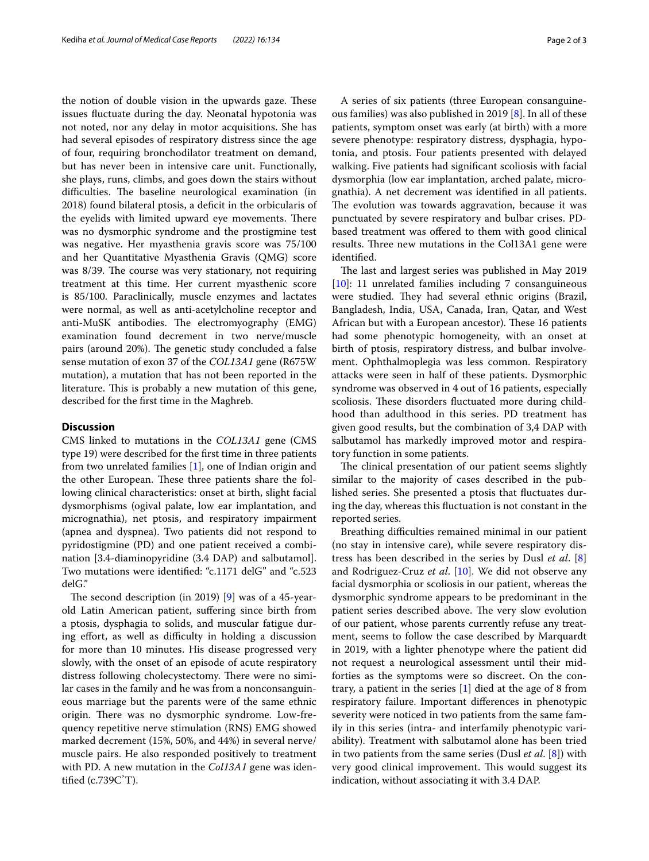the notion of double vision in the upwards gaze. These issues fuctuate during the day. Neonatal hypotonia was not noted, nor any delay in motor acquisitions. She has had several episodes of respiratory distress since the age of four, requiring bronchodilator treatment on demand, but has never been in intensive care unit. Functionally, she plays, runs, climbs, and goes down the stairs without difficulties. The baseline neurological examination (in 2018) found bilateral ptosis, a defcit in the orbicularis of the eyelids with limited upward eye movements. There was no dysmorphic syndrome and the prostigmine test was negative. Her myasthenia gravis score was 75/100 and her Quantitative Myasthenia Gravis (QMG) score was  $8/39$ . The course was very stationary, not requiring treatment at this time. Her current myasthenic score is 85/100. Paraclinically, muscle enzymes and lactates were normal, as well as anti-acetylcholine receptor and anti-MuSK antibodies. The electromyography  $(EMG)$ examination found decrement in two nerve/muscle pairs (around 20%). The genetic study concluded a false sense mutation of exon 37 of the *COL13A1* gene (R675W mutation), a mutation that has not been reported in the literature. This is probably a new mutation of this gene, described for the frst time in the Maghreb.

## **Discussion**

CMS linked to mutations in the *COL13A1* gene (CMS type 19) were described for the frst time in three patients from two unrelated families [\[1\]](#page-2-0), one of Indian origin and the other European. These three patients share the following clinical characteristics: onset at birth, slight facial dysmorphisms (ogival palate, low ear implantation, and micrognathia), net ptosis, and respiratory impairment (apnea and dyspnea). Two patients did not respond to pyridostigmine (PD) and one patient received a combination [3.4-diaminopyridine (3.4 DAP) and salbutamol]. Two mutations were identifed: "c.1171 delG" and "c.523 delG."

The second description (in 2019)  $[9]$  $[9]$  was of a 45-yearold Latin American patient, sufering since birth from a ptosis, dysphagia to solids, and muscular fatigue during effort, as well as difficulty in holding a discussion for more than 10 minutes. His disease progressed very slowly, with the onset of an episode of acute respiratory distress following cholecystectomy. There were no similar cases in the family and he was from a nonconsanguineous marriage but the parents were of the same ethnic origin. There was no dysmorphic syndrome. Low-frequency repetitive nerve stimulation (RNS) EMG showed marked decrement (15%, 50%, and 44%) in several nerve/ muscle pairs. He also responded positively to treatment with PD. A new mutation in the *Col13A1* gene was identified  $(c.739C'T)$ .

A series of six patients (three European consanguineous families) was also published in 2019 [[8\]](#page-2-7). In all of these patients, symptom onset was early (at birth) with a more severe phenotype: respiratory distress, dysphagia, hypotonia, and ptosis. Four patients presented with delayed walking. Five patients had signifcant scoliosis with facial dysmorphia (low ear implantation, arched palate, micrognathia). A net decrement was identifed in all patients. The evolution was towards aggravation, because it was punctuated by severe respiratory and bulbar crises. PDbased treatment was offered to them with good clinical results. Three new mutations in the Col13A1 gene were identifed.

The last and largest series was published in May 2019 [[10\]](#page-2-9): 11 unrelated families including 7 consanguineous were studied. They had several ethnic origins (Brazil, Bangladesh, India, USA, Canada, Iran, Qatar, and West African but with a European ancestor). These 16 patients had some phenotypic homogeneity, with an onset at birth of ptosis, respiratory distress, and bulbar involvement. Ophthalmoplegia was less common. Respiratory attacks were seen in half of these patients. Dysmorphic syndrome was observed in 4 out of 16 patients, especially scoliosis. These disorders fluctuated more during childhood than adulthood in this series. PD treatment has given good results, but the combination of 3,4 DAP with salbutamol has markedly improved motor and respiratory function in some patients.

The clinical presentation of our patient seems slightly similar to the majority of cases described in the published series. She presented a ptosis that fuctuates during the day, whereas this fuctuation is not constant in the reported series.

Breathing difficulties remained minimal in our patient (no stay in intensive care), while severe respiratory distress has been described in the series by Dusl *et al*. [\[8](#page-2-7)] and Rodriguez-Cruz *et al*. [[10\]](#page-2-9). We did not observe any facial dysmorphia or scoliosis in our patient, whereas the dysmorphic syndrome appears to be predominant in the patient series described above. The very slow evolution of our patient, whose parents currently refuse any treatment, seems to follow the case described by Marquardt in 2019, with a lighter phenotype where the patient did not request a neurological assessment until their midforties as the symptoms were so discreet. On the contrary, a patient in the series [[1\]](#page-2-0) died at the age of 8 from respiratory failure. Important diferences in phenotypic severity were noticed in two patients from the same family in this series (intra- and interfamily phenotypic variability). Treatment with salbutamol alone has been tried in two patients from the same series (Dusl *et al*. [\[8](#page-2-7)]) with very good clinical improvement. This would suggest its indication, without associating it with 3.4 DAP.